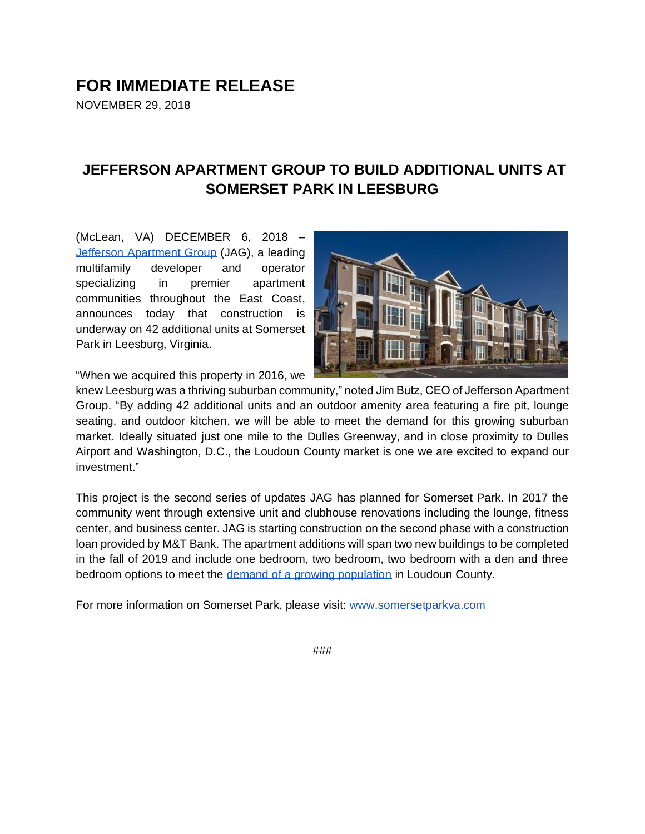## **FOR IMMEDIATE RELEASE**

NOVEMBER 29, 2018

## **JEFFERSON APARTMENT GROUP TO BUILD ADDITIONAL UNITS AT SOMERSET PARK IN LEESBURG**

(McLean, VA) DECEMBER 6, 2018 [–](http://jeffersonapartmentgroup.com/) [Jefferson Apartment Group](http://jeffersonapartmentgroup.com/) (JAG), a leading multifamily developer and operator specializing in premier apartment communities throughout the East Coast, announces today that construction is underway on 42 additional units at Somerset Park in Leesburg, Virginia.



"When we acquired this property in 2016, we

knew Leesburg was a thriving suburban community," noted Jim Butz, CEO of Jefferson Apartment Group. "By adding 42 additional units and an outdoor amenity area featuring a fire pit, lounge seating, and outdoor kitchen, we will be able to meet the demand for this growing suburban market. Ideally situated just one mile to the Dulles Greenway, and in close proximity to Dulles Airport and Washington, D.C., the Loudoun County market is one we are excited to expand our investment."

This project is the second series of updates JAG has planned for Somerset Park. In 2017 the community went through extensive unit and clubhouse renovations including the lounge, fitness center, and business center. JAG is starting construction on the second phase with a construction loan provided by M&T Bank. The apartment additions will span two new buildings to be completed in the fall of 2019 and include one bedroom, two bedroom, two bedroom with a den and three bedroom options to meet the [demand of a growing population](https://www.loudountimes.com/news/loudoun-remains-the-fastest-growing-county-virginia/article_c577bde8-29ae-5c17-8860-264da827be58.html) in Loudoun County.

For more information on Somerset Park, please visit: [www.somersetparkva.com](http://www.somersetparkva.com/)

###